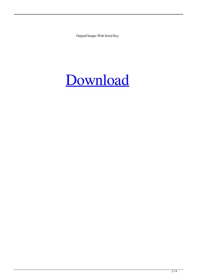OutputChanger With Serial Key

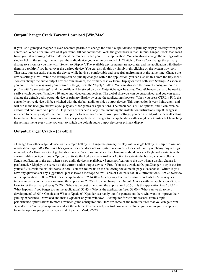# **OutputChanger Crack Torrent Download [Win/Mac]**

If you use a gamepad mapper, it even becomes possible to change the audio output device or primary display directly from your controller. When a feature isn't what you want Still not convinced? Well, the good news is that OutputChanger Crack Mac won't force you into choosing a default device at the moment when you use the application. You can always change the settings with a single click in the settings menu. Input the audio device you want to use and click "Switch to Device", or change the primary display to a monitor you like with "Switch to Display". The available device names are accurate, and the application will display them in a tooltip if you hover over the desired device. You can also do this by simply right-clicking on the system tray icon. That way, you can easily change the device while having a comfortable and peaceful environment at the same time. Change the device settings at will While the settings can be quickly changed within the application, you can also do this from the tray menu. You can change the audio output device from Devices, the primary display from Display or even both with Settings. As soon as you are finished configuring your desired settings, press the "Apply" button. You can also save the current configuration to a profile with "Save Settings", and the profile will be stored on disk. OutputChanger Features: OutputChanger can also be used to easily switch between Windows 10 audio and video output devices. The global shortcuts can be customized, and you can easily change the default audio output device or primary display by using the application's hotkeys. When you press  $CTRL + F10$ , the currently active device will be switched with the default audio or video output device. This application is very lightweight, and will run in the background while you play any other games or applications. The menu bar is full of options, and it can even be customized and saved to a profile. Help menu offers help at any time, including the installation instructions. InputChanger is intended to be very easy-to-use, but if you prefer to have more control over your settings, you can also adjust the default settings from the application's main window. This lets you apply these changes to the application with a single click instead of launching the settings menu every time you want to switch the default audio output device or primary display

# **OutputChanger Crack+ [32|64bit]**

• Change to another output device with a simple hotkey. • Change the primary display with a single hotkey. • Simple to use, no registration required! • Runs as a background service, does not use system resources. • Does not modify or change any settings in Windows! • Huge variety of global shortcuts. • Easy to use interface for changing audio devices. • Keyboard shortcuts with customizable configurations. • Option to activate the hotkey via controller. • Option to activate the hotkey via controller. • Sends notification to the tray when a new audio device is available. • Sends notification to the tray when a display change is performed. • Displays the screen on the current active output device. • Free! You can download OutputChanger to try it out for yourself. Just visit the official website here: You can follow us on the following social media pages: Facebook: Twitter: If you have any questions or any suggestions, please leave a message below. Table of Contents:  $00:00 =$  Introduction  $01:29 =$  Overview of the application  $10:00 =$  What does the application do?  $14:40 =$  An easy way to create custom shortcuts  $18:50 =$  A quick tutorial to give you the basics on using the application  $21:25 =$  How to change the Output Devices with the application  $28:00 =$ How to set the primary display  $29:20 =$  When is the best time to run the application?  $30:50 =$  Is the application free?  $31:15 =$ What happens if you forget to run the application?  $32:45 =$ Why is the application free?  $33:00 =$ What can we do to help development? 35:05 = Conclusion What is Xpadder? Xpadder is a handy tool for gamers out there who want to improve their gaming experience. Download and install Xpadder on your Windows 10 computer for various reasons, from simple performance optimisations to more advanced game configurations. Here are some of the main features that you can get from Xpadder: 1. Control your speakers and set the volume You can easily control how much volume you want in your computer from the options you get after you install Xpadder. a69d392a70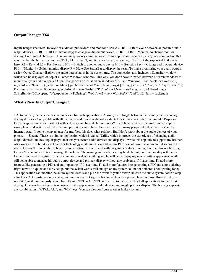### **OutputChanger X64**

InputChanger Features: Hotkeys for audio output devices and monitor display: CTRL + F10 to cycle between all possible audio output devices. CTRL + F10 + [function key] to change audio output device. CTRL + F10 + [Monitor] to change monitor display. Configurable hotkeys: There are many hotkey combinations for this application. You can use any key combination that you like, but the hotkey cannot be CTRL, ALT or WIN, and it cannot be a function key. The list of the supported hotkeys is here:  $R2$  = Rewind L2 = Fast Forward F10 = Switch to another audio device F10 + [function key] = Change audio output device  $F10 + [Montior] = Switch monitor display P = Mute Use StatusBar to display the result To make monitoring your audio outputs$ easier, OutputChanger displays the audio output status in the system tray. The application also includes a StatusBar window, which can be displayed on top of all other Windows windows. This way, you don't have to switch between different windows to monitor all your audio outputs. OutputChanger can be installed on Windows 8/8.1 and Windows 10 at the official website. { m\_word = w.Name; } } } class WoMain { public static void Main(String[] args) { string[] str = { "a", "aa", "ab", "xyz", "aaab" }; Dictionary dic = new Dictionary(); WoInfo w1 = new WoInfo("P","1st"); w1.Num = str.Length - 1; w1.Word = new StringBuilder(20).Append("b").Append(str).ToString(); WoInfo w2 = new WoInfo("P","2nd"); w2.Num = str.Length

#### **What's New In OutputChanger?**

• Automatically detects the best audio device for each application • Allows you to toggle between the primary and secondary display devices • Compatible with all the major and minor keyboard shortcuts Does it have a similar function like Psiphon? Does it capture audio and push it to other devices and have different modes? It will be great if you can make me an app for smartphone and switch audio devices and push it to smartphone. Because there are many people who don't have access for Internet. And it's some inconvenience for me. Yes, this does what psiphon. But I don't know about the audio devices of your phone. ---- Update: There is a similar application which is called "Utility which improves the experience of changing audio output devices and desktop displays" that lets you switch audio devices and displays. I wrote this app only to support my brother, who loves movies but does not care for technology at all, much less and yet his PC does not have the audio output software he needs. He won't even be able to hear my conversations from his end with his game interface running. For me, this is a blessing. He won't even bother to try to manage the volume. The naming and aesthetics may be different, but functionality is the same. He does not need to register for an account or download anything and he will get to enjoy my newly written application while still being able to manage his audio output device and primary display without any problems. If I have time, I'll add more features like generating a PIN and auto-updating. If I have time, I'll add more features like generating a PIN and auto-updating. Right now it's a quick and dirty setup, but the switch works well enough on my system so I'm not bothered about getting fancy. This application can monitor the audio system events and push the event to your desktop (in case the audio system doesn't keep a log file). After installation, you may use your mouse to toggle between displays on a per application basis. However, if you want it to work continuously, you'll have to use CTRL + A. CTRL + B will automatically restart all applications to their first display. I can easily configure two hotkeys in the app to switch audio devices and toggle primary display. The hotkeys support any combination of CTRL, ALT, and WIN keys. You can also configure another hotkey for auto